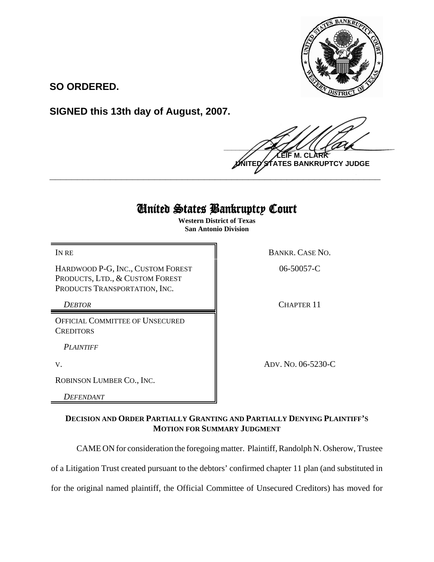

**SO ORDERED.**

**SIGNED this 13th day of August, 2007.**

 $\frac{1}{2}$ **M. C ATES BANKRUPTCY JUDGE \_\_\_\_\_\_\_\_\_\_\_\_\_\_\_\_\_\_\_\_\_\_\_\_\_\_\_\_\_\_\_\_\_\_\_\_\_\_\_\_\_\_\_\_\_\_\_\_\_\_\_\_\_\_\_\_\_\_\_\_**

## United States Bankruptcy Court

**Western District of Texas San Antonio Division**

HARDWOOD P-G, INC., CUSTOM FOREST PRODUCTS, LTD., & CUSTOM FOREST PRODUCTS TRANSPORTATION, INC.

OFFICIAL COMMITTEE OF UNSECURED **CREDITORS** 

*PLAINTIFF* 

ROBINSON LUMBER CO., INC.

*DEFENDANT*

IN RE BANKR. CASE NO.

06-50057-C

**DEBTOR** CHAPTER 11

V. ADV. NO. 06-5230-C

## **DECISION AND ORDER PARTIALLY GRANTING AND PARTIALLY DENYING PLAINTIFF'S MOTION FOR SUMMARY JUDGMENT**

CAME ON for consideration the foregoing matter. Plaintiff, Randolph N. Osherow, Trustee

of a Litigation Trust created pursuant to the debtors' confirmed chapter 11 plan (and substituted in

for the original named plaintiff, the Official Committee of Unsecured Creditors) has moved for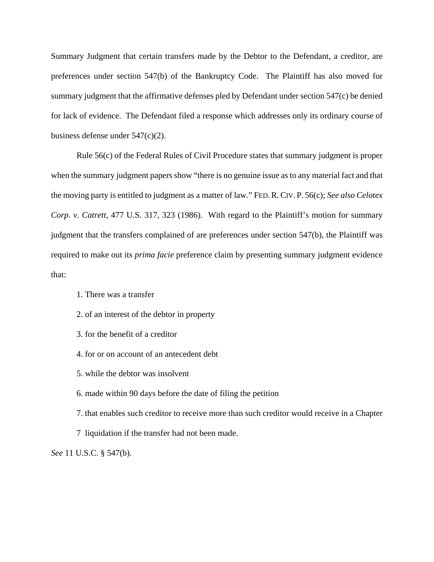Summary Judgment that certain transfers made by the Debtor to the Defendant, a creditor, are preferences under section 547(b) of the Bankruptcy Code. The Plaintiff has also moved for summary judgment that the affirmative defenses pled by Defendant under section 547(c) be denied for lack of evidence. The Defendant filed a response which addresses only its ordinary course of business defense under 547(c)(2).

Rule 56(c) of the Federal Rules of Civil Procedure states that summary judgment is proper when the summary judgment papers show "there is no genuine issue as to any material fact and that the moving party is entitled to judgment as a matter of law." FED.R.CIV. P. 56(c); *See also Celotex Corp. v. Catrett*, 477 U.S. 317, 323 (1986). With regard to the Plaintiff's motion for summary judgment that the transfers complained of are preferences under section 547(b), the Plaintiff was required to make out its *prima facie* preference claim by presenting summary judgment evidence that:

- 1. There was a transfer
- 2. of an interest of the debtor in property
- 3. for the benefit of a creditor
- 4. for or on account of an antecedent debt
- 5. while the debtor was insolvent
- 6. made within 90 days before the date of filing the petition
- 7. that enables such creditor to receive more than such creditor would receive in a Chapter
- 7 liquidation if the transfer had not been made.

*See* 11 U.S.C. § 547(b).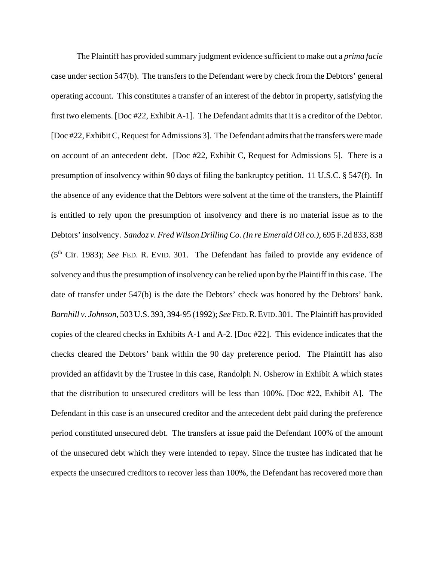The Plaintiff has provided summary judgment evidence sufficient to make out a *prima facie* case under section 547(b). The transfers to the Defendant were by check from the Debtors' general operating account. This constitutes a transfer of an interest of the debtor in property, satisfying the first two elements. [Doc #22, Exhibit A-1]. The Defendant admits that it is a creditor of the Debtor. [Doc #22, Exhibit C, Request for Admissions 3]. The Defendant admits that the transfers were made on account of an antecedent debt. [Doc #22, Exhibit C, Request for Admissions 5]. There is a presumption of insolvency within 90 days of filing the bankruptcy petition. 11 U.S.C. § 547(f). In the absence of any evidence that the Debtors were solvent at the time of the transfers, the Plaintiff is entitled to rely upon the presumption of insolvency and there is no material issue as to the Debtors' insolvency. *Sandoz v. Fred Wilson Drilling Co. (In re Emerald Oil co.)*, 695 F.2d 833, 838 (5th Cir. 1983); *See* FED. R. EVID. 301. The Defendant has failed to provide any evidence of solvency and thus the presumption of insolvency can be relied upon by the Plaintiff in this case. The date of transfer under 547(b) is the date the Debtors' check was honored by the Debtors' bank. *Barnhill v. Johnson*, 503 U.S. 393, 394-95 (1992); *See* FED.R.EVID.301. The Plaintiff has provided copies of the cleared checks in Exhibits A-1 and A-2. [Doc #22]. This evidence indicates that the checks cleared the Debtors' bank within the 90 day preference period. The Plaintiff has also provided an affidavit by the Trustee in this case, Randolph N. Osherow in Exhibit A which states that the distribution to unsecured creditors will be less than 100%. [Doc #22, Exhibit A]. The Defendant in this case is an unsecured creditor and the antecedent debt paid during the preference period constituted unsecured debt. The transfers at issue paid the Defendant 100% of the amount of the unsecured debt which they were intended to repay. Since the trustee has indicated that he expects the unsecured creditors to recover less than 100%, the Defendant has recovered more than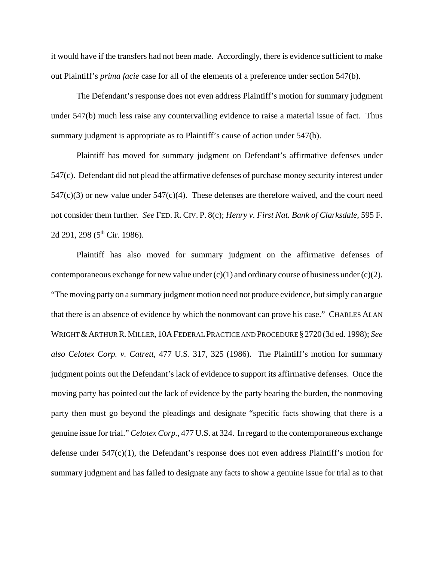it would have if the transfers had not been made. Accordingly, there is evidence sufficient to make out Plaintiff's *prima facie* case for all of the elements of a preference under section 547(b).

The Defendant's response does not even address Plaintiff's motion for summary judgment under 547(b) much less raise any countervailing evidence to raise a material issue of fact. Thus summary judgment is appropriate as to Plaintiff's cause of action under 547(b).

Plaintiff has moved for summary judgment on Defendant's affirmative defenses under 547(c). Defendant did not plead the affirmative defenses of purchase money security interest under  $547(c)(3)$  or new value under  $547(c)(4)$ . These defenses are therefore waived, and the court need not consider them further. *See* FED. R. CIV. P. 8(c); *Henry v. First Nat. Bank of Clarksdale*, 595 F. 2d 291, 298 (5<sup>th</sup> Cir. 1986).

Plaintiff has also moved for summary judgment on the affirmative defenses of contemporaneous exchange for new value under  $(c)(1)$  and ordinary course of business under  $(c)(2)$ . "The moving party on a summary judgment motion need not produce evidence, but simply can argue that there is an absence of evidence by which the nonmovant can prove his case." CHARLES ALAN WRIGHT &ARTHUR R.MILLER,10AFEDERAL PRACTICE AND PROCEDURE §2720(3d ed. 1998); *See also Celotex Corp. v. Catrett*, 477 U.S. 317, 325 (1986). The Plaintiff's motion for summary judgment points out the Defendant's lack of evidence to support its affirmative defenses. Once the moving party has pointed out the lack of evidence by the party bearing the burden, the nonmoving party then must go beyond the pleadings and designate "specific facts showing that there is a genuine issue for trial." *Celotex Corp.*, 477 U.S. at 324. In regard to the contemporaneous exchange defense under 547(c)(1), the Defendant's response does not even address Plaintiff's motion for summary judgment and has failed to designate any facts to show a genuine issue for trial as to that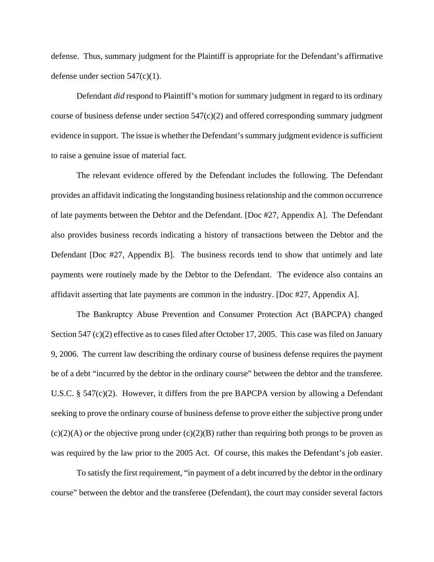defense. Thus, summary judgment for the Plaintiff is appropriate for the Defendant's affirmative defense under section 547(c)(1).

Defendant *did* respond to Plaintiff's motion for summary judgment in regard to its ordinary course of business defense under section  $547(c)(2)$  and offered corresponding summary judgment evidence in support. The issue is whether the Defendant's summary judgment evidence is sufficient to raise a genuine issue of material fact.

The relevant evidence offered by the Defendant includes the following. The Defendant provides an affidavit indicating the longstanding business relationship and the common occurrence of late payments between the Debtor and the Defendant. [Doc #27, Appendix A]. The Defendant also provides business records indicating a history of transactions between the Debtor and the Defendant [Doc #27, Appendix B]. The business records tend to show that untimely and late payments were routinely made by the Debtor to the Defendant. The evidence also contains an affidavit asserting that late payments are common in the industry. [Doc #27, Appendix A].

The Bankruptcy Abuse Prevention and Consumer Protection Act (BAPCPA) changed Section 547 (c)(2) effective as to cases filed after October 17, 2005. This case was filed on January 9, 2006. The current law describing the ordinary course of business defense requires the payment be of a debt "incurred by the debtor in the ordinary course" between the debtor and the transferee. U.S.C. § 547(c)(2). However, it differs from the pre BAPCPA version by allowing a Defendant seeking to prove the ordinary course of business defense to prove either the subjective prong under  $(c)(2)(A)$  *or* the objective prong under  $(c)(2)(B)$  rather than requiring both prongs to be proven as was required by the law prior to the 2005 Act. Of course, this makes the Defendant's job easier.

To satisfy the first requirement, "in payment of a debt incurred by the debtor in the ordinary course" between the debtor and the transferee (Defendant), the court may consider several factors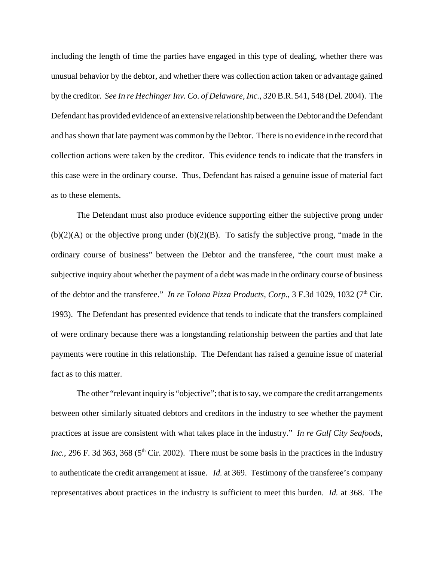including the length of time the parties have engaged in this type of dealing, whether there was unusual behavior by the debtor, and whether there was collection action taken or advantage gained by the creditor. *See In re Hechinger Inv. Co. of Delaware, Inc.*, 320 B.R. 541, 548 (Del. 2004). The Defendant has provided evidence of an extensive relationship between the Debtor and the Defendant and has shown that late payment was common by the Debtor. There is no evidence in the record that collection actions were taken by the creditor. This evidence tends to indicate that the transfers in this case were in the ordinary course. Thus, Defendant has raised a genuine issue of material fact as to these elements.

The Defendant must also produce evidence supporting either the subjective prong under  $(b)(2)(A)$  or the objective prong under  $(b)(2)(B)$ . To satisfy the subjective prong, "made in the ordinary course of business" between the Debtor and the transferee, "the court must make a subjective inquiry about whether the payment of a debt was made in the ordinary course of business of the debtor and the transferee." *In re Tolona Pizza Products, Corp.*, 3 F.3d 1029, 1032 (7<sup>th</sup> Cir. 1993). The Defendant has presented evidence that tends to indicate that the transfers complained of were ordinary because there was a longstanding relationship between the parties and that late payments were routine in this relationship. The Defendant has raised a genuine issue of material fact as to this matter.

The other "relevant inquiry is "objective"; that is to say, we compare the credit arrangements between other similarly situated debtors and creditors in the industry to see whether the payment practices at issue are consistent with what takes place in the industry." *In re Gulf City Seafoods, Inc.*, 296 F. 3d 363, 368 ( $5<sup>th</sup>$  Cir. 2002). There must be some basis in the practices in the industry to authenticate the credit arrangement at issue. *Id.* at 369. Testimony of the transferee's company representatives about practices in the industry is sufficient to meet this burden. *Id.* at 368. The